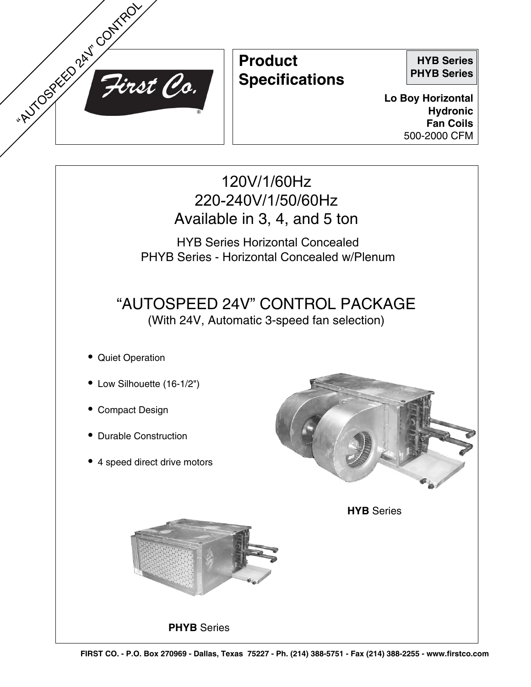

## **Product Specifications**

**HYB Series PHYB Series**

**Lo Boy Horizontal Hydronic Fan Coils** 500-2000 CFM

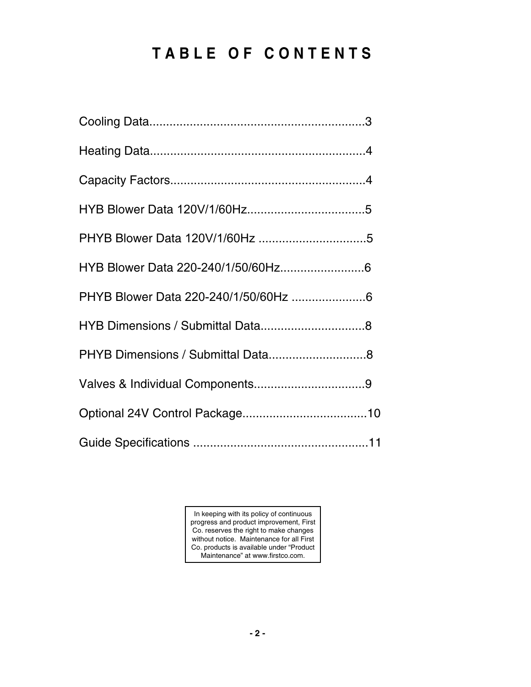# **T a bl e of C o n t e n ts**

| PHYB Dimensions / Submittal Data8 |
|-----------------------------------|
|                                   |
|                                   |
|                                   |

In keeping with its policy of continuous progress and product improvement, First Co. reserves the right to make changes without notice. Maintenance for all First Co. products is available under "Product Maintenance" at www.firstco.com.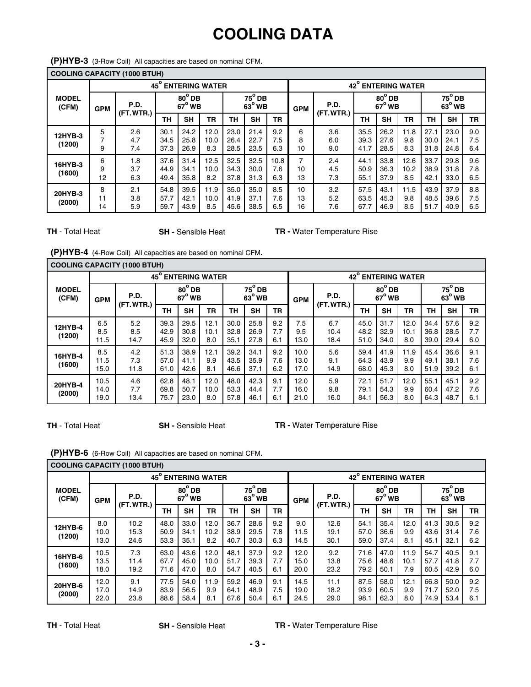## **COOLING DATA**

|                       | <b>COOLING CAPACITY (1000 BTUH)</b> |                    |                                                                  |                      |                       |                                 |                      |                    |                                |                   |                      |                                |                     |                      |                      |                   |
|-----------------------|-------------------------------------|--------------------|------------------------------------------------------------------|----------------------|-----------------------|---------------------------------|----------------------|--------------------|--------------------------------|-------------------|----------------------|--------------------------------|---------------------|----------------------|----------------------|-------------------|
|                       |                                     |                    | $45^{\circ}$                                                     |                      | <b>ENTERING WATER</b> |                                 |                      |                    | 42° ENTERING WATER             |                   |                      |                                |                     |                      |                      |                   |
| <b>MODEL</b><br>(CFM) | <b>GPM</b>                          | P.D.<br>(FT. WTR.) | $75^\circ$ DB<br>$80^\circ$ DB<br>$63^\circ$ WB<br>$67^\circ$ WB |                      |                       | P.D.<br><b>GPM</b><br>(FT.WTR.) |                      |                    | $80^\circ$ DB<br>$67^\circ$ WB |                   |                      | $75^\circ$ DB<br>$63^\circ$ WB |                     |                      |                      |                   |
|                       |                                     |                    | ΤН                                                               | <b>SH</b>            | <b>TR</b>             | TH                              | <b>SH</b>            | <b>TR</b>          |                                |                   | <b>TH</b>            | <b>SH</b>                      | <b>TR</b>           | TН                   | <b>SH</b>            | <b>TR</b>         |
| 12HYB-3<br>(1200)     | 5<br>7<br>9                         | 2.6<br>4.7<br>7.4  | 30.1<br>34.5<br>37.3                                             | 24.2<br>25.8<br>26.9 | 12.0<br>10.0<br>8.3   | 23.0<br>26.4<br>28.5            | 21.4<br>22.7<br>23.5 | 9.2<br>7.5<br>6.3  | 6<br>8<br>10                   | 3.6<br>6.0<br>9.0 | 35.5<br>39.3<br>41.7 | 26.2<br>27.6<br>28.5           | 11.8<br>9.8<br>8.3  | 27.1<br>30.0<br>31.8 | 23.0<br>24.1<br>24.8 | 9.0<br>7.5<br>6.4 |
| 16HYB-3<br>(1600)     | 6<br>9<br>12                        | 1.8<br>3.7<br>6.3  | 37.6<br>44.9<br>49.4                                             | 31.4<br>34.1<br>35.8 | 12.5<br>10.0<br>8.2   | 32.5<br>34.3<br>37.8            | 32.5<br>30.0<br>31.3 | 10.8<br>7.6<br>6.3 | 7<br>10<br>13                  | 2.4<br>4.5<br>7.3 | 44.1<br>50.9<br>55.1 | 33.8<br>36.3<br>37.9           | 12.6<br>10.2<br>8.5 | 33.7<br>38.9<br>42.1 | 29.8<br>31.8<br>33.0 | 9.6<br>7.8<br>6.5 |
| 20HYB-3<br>(2000)     | 8<br>11<br>14                       | 2.1<br>3.8<br>5.9  | 54.8<br>57.7<br>59.7                                             | 39.5<br>42.1<br>43.9 | 11.9<br>10.0<br>8.5   | 35.0<br>41.9<br>45.6            | 35.0<br>37.1<br>38.5 | 8.5<br>7.6<br>6.5  | 10<br>13<br>16                 | 3.2<br>5.2<br>7.6 | 57.5<br>63.5<br>67.7 | 43.1<br>45.3<br>46.9           | 11.5<br>9.8<br>8.5  | 43.9<br>48.5<br>51.7 | 37.9<br>39.6<br>40.9 | 8.8<br>7.5<br>6.5 |

**(P)HYB-3** (3-Row Coil)All capacities are based on nominal CFM**.**

**TH** - Total Heat **SH** - Sensible Heat **TR** - Water Temperature Rise

**(P)HYB-4** (4-Row Coil)All capacities are based on nominal CFM**.**

|                       |                      | <b>COOLING CAPACITY (1000 BTUH)</b> |                                  |                      |                       |                                |                      |                   |                                       |                                  |                      |                      |                     |                                |                      |                   |
|-----------------------|----------------------|-------------------------------------|----------------------------------|----------------------|-----------------------|--------------------------------|----------------------|-------------------|---------------------------------------|----------------------------------|----------------------|----------------------|---------------------|--------------------------------|----------------------|-------------------|
|                       |                      |                                     | $45^{\circ}$                     |                      | <b>ENTERING WATER</b> |                                |                      |                   | $42^{\circ}$<br><b>ENTERING WATER</b> |                                  |                      |                      |                     |                                |                      |                   |
| <b>MODEL</b><br>(CFM) | <b>GPM</b>           | P.D.<br>(FT. WTR.)                  | $80^{\circ}$ DB<br>$67^\circ$ WB |                      |                       | $75^\circ$ DB<br>$63^\circ$ WB |                      | <b>GPM</b>        | P.D.<br>(FT.WTR.)                     | $80^{\circ}$ DB<br>$67^\circ$ WB |                      |                      |                     | $75^\circ$ DB<br>$63^\circ$ WB |                      |                   |
|                       |                      |                                     | <b>SH</b><br>ΤН                  | <b>TR</b>            | TН                    | SH                             | <b>TR</b>            |                   |                                       | ΤН                               | <b>SH</b>            | <b>TR</b>            | <b>TH</b>           | <b>SH</b>                      | <b>TR</b>            |                   |
| 12HYB-4<br>(1200)     | 6.5<br>8.5<br>11.5   | 5.2<br>8.5<br>14.7                  | 39.3<br>42.9<br>45.9             | 29.5<br>30.8<br>32.0 | 12.1<br>10.1<br>8.0   | 30.0<br>32.8<br>35.1           | 25.8<br>26.9<br>27.8 | 9.2<br>7.7<br>6.1 | 7.5<br>9.5<br>13.0                    | 6.7<br>10.4<br>18.4              | 45.0<br>48.2<br>51.0 | 31.7<br>32.9<br>34.0 | 12.0<br>10.1<br>8.0 | 34.4<br>36.8<br>39.0           | 57.6<br>28.5<br>29.4 | 9.2<br>7.7<br>6.0 |
| 16HYB-4<br>(1600)     | 8.5<br>11.5<br>15.0  | 4.2<br>7.3<br>11.8                  | 51.3<br>57.0<br>61.0             | 38.9<br>41.1<br>42.6 | 12.1<br>9.9<br>8.1    | 39.2<br>43.5<br>46.6           | 34.1<br>35.9<br>37.1 | 9.2<br>7.6<br>6.2 | 10.0<br>13.0<br>17.0                  | 5.6<br>9.1<br>14.9               | 59.4<br>64.3<br>68.0 | 41.9<br>43.9<br>45.3 | 11.9<br>9.9<br>8.0  | 45.4<br>49.1<br>51.9           | 36.6<br>38.1<br>39.2 | 9.1<br>7.6<br>6.1 |
| 20HYB-4<br>(2000)     | 10.5<br>14.0<br>19.0 | 4.6<br>7.7<br>13.4                  | 62.8<br>69.8<br>75.7             | 48.1<br>50.7<br>23.0 | 12.0<br>10.0<br>8.0   | 48.0<br>53.3<br>57.8           | 42.3<br>44.4<br>46.1 | 9.1<br>7.7<br>6.1 | 12.0<br>16.0<br>21.0                  | 5.9<br>9.8<br>16.0               | 72.1<br>79.1<br>84.1 | 51.7<br>54.3<br>56.3 | 12.0<br>9.9<br>8.0  | 55.1<br>60.4<br>64.3           | 45.1<br>47.2<br>48.7 | 9.2<br>7.6<br>6.1 |

**TH** - Total Heat **SH** - Sensible Heat **TR** - Water Temperature Rise

**(P)HYB-6** (6-Row Coil)All capacities are based on nominal CFM**.**

|                       |                      | <b>COOLING CAPACITY (1000 BTUH)</b> |                      |                                |                       |                      |                                |                   |                                       |                                                     |                      |                      |                     |                                |                      |                   |
|-----------------------|----------------------|-------------------------------------|----------------------|--------------------------------|-----------------------|----------------------|--------------------------------|-------------------|---------------------------------------|-----------------------------------------------------|----------------------|----------------------|---------------------|--------------------------------|----------------------|-------------------|
|                       |                      |                                     | $45^{\circ}$         |                                | <b>ENTERING WATER</b> |                      |                                |                   | $42^{\circ}$<br><b>ENTERING WATER</b> |                                                     |                      |                      |                     |                                |                      |                   |
| <b>MODEL</b><br>(CFM) | <b>GPM</b>           | P.D.<br>(FT. WTR.)                  |                      | $80^\circ$ DB<br>$67^\circ$ WB |                       |                      | $75^\circ$ DB<br>$63^\circ$ WB |                   | <b>GPM</b>                            | $80^\circ$ DB<br>P.D.<br>$67^\circ$ WB<br>(FT.WTR.) |                      |                      |                     | $75^\circ$ DB<br>$63^\circ$ WB |                      |                   |
|                       |                      |                                     | TН                   | <b>SH</b>                      | TR                    | <b>TH</b>            | <b>SH</b>                      | <b>TR</b>         |                                       |                                                     | TН                   | <b>SH</b>            | <b>TR</b>           | <b>TH</b>                      | <b>SH</b>            | <b>TR</b>         |
| 12HYB-6<br>(1200)     | 8.0<br>10.0<br>13.0  | 10.2<br>15.3<br>24.6                | 48.0<br>50.9<br>53.3 | 33.0<br>34.1<br>35.1           | 12.0<br>10.2<br>8.2   | 36.7<br>38.9<br>40.7 | 28.6<br>29.5<br>30.3           | 9.2<br>7.8<br>6.3 | 9.0<br>11.5<br>14.5                   | 12.6<br>19.1<br>30.1                                | 54.1<br>57.0<br>59.0 | 35.4<br>36.6<br>37.4 | 12.0<br>9.9<br>8.1  | 41.3<br>43.6<br>45.1           | 30.5<br>31.4<br>32.1 | 9.2<br>7.6<br>6.2 |
| 16HYB-6<br>(1600)     | 10.5<br>13.5<br>18.0 | 7.3<br>11.4<br>19.2                 | 63.0<br>67.7<br>71.6 | 43.6<br>45.0<br>47.0           | 12.0<br>10.0<br>8.0   | 48.1<br>51.7<br>54.7 | 37.9<br>39.3<br>40.5           | 9.2<br>7.7<br>6.1 | 12.0<br>15.0<br>20.0                  | 9.2<br>13.8<br>23.2                                 | 71.6<br>75.6<br>79.2 | 47.0<br>48.6<br>50.1 | 11.9<br>10.1<br>7.9 | 54.7<br>57.7<br>60.5           | 40.5<br>41.8<br>42.9 | 9.1<br>7.7<br>6.0 |
| 20HYB-6<br>(2000)     | 12.0<br>17.0<br>22.0 | 9.1<br>14.9<br>23.8                 | 77.5<br>83.9<br>88.6 | 54.0<br>56.5<br>58.4           | 11.9<br>9.9<br>8.1    | 59.2<br>64.1<br>67.6 | 46.9<br>48.9<br>50.4           | 9.1<br>7.5<br>6.1 | 14.5<br>19.0<br>24.5                  | 11.1<br>18.2<br>29.0                                | 87.5<br>93.9<br>98.1 | 58.0<br>60.5<br>62.3 | 12.1<br>9.9<br>8.0  | 66.8<br>71.7<br>74.9           | 50.0<br>52.0<br>53.4 | 9.2<br>7.5<br>6.1 |

**TH** - Total Heat **SH - Sensible Heat TR - Water Temperature Rise**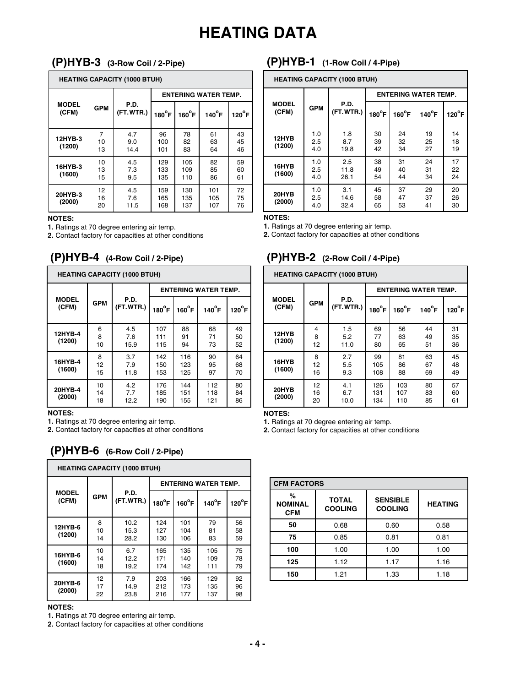## **HEATING DATA**

## **(P)HYB-3 (3-Row Coil / 2-Pipe)**

|                       | <b>HEATING CAPACITY (1000 BTUH)</b> |                    |                             |                   |                   |                 |  |  |  |  |  |  |  |
|-----------------------|-------------------------------------|--------------------|-----------------------------|-------------------|-------------------|-----------------|--|--|--|--|--|--|--|
|                       |                                     |                    | <b>ENTERING WATER TEMP.</b> |                   |                   |                 |  |  |  |  |  |  |  |
| <b>MODEL</b><br>(CFM) | <b>GPM</b>                          | P.D.<br>(FT.WTR.)  | $180^{\circ}$ F             | $160^{\circ}$ F   | $140^{\circ}$ F   | $120^{\circ}$ F |  |  |  |  |  |  |  |
| 12HYB-3<br>(1200)     | 7<br>10<br>13                       | 4.7<br>9.0<br>14.4 | 96<br>100<br>101            | 78<br>82<br>83    | 61<br>63<br>64    | 43<br>45<br>46  |  |  |  |  |  |  |  |
| 16HYB-3<br>(1600)     | 10<br>13<br>15                      | 4.5<br>7.3<br>9.5  | 129<br>133<br>135           | 105<br>109<br>110 | 82<br>85<br>86    | 59<br>60<br>61  |  |  |  |  |  |  |  |
| 20HYB-3<br>(2000)     | 12<br>16<br>20                      | 4.5<br>7.6<br>11.5 | 159<br>165<br>168           | 130<br>135<br>137 | 101<br>105<br>107 | 72<br>75<br>76  |  |  |  |  |  |  |  |

#### **NOTES:**

**1.** Ratings at 70 degree entering air temp.

**2.** Contact factory for capacities at other conditions

## **(P)HYB-4 (4-Row Coil / 2-Pipe)**

|                       |                | <b>HEATING CAPACITY (1000 BTUH)</b> |                   |                   |                             |                 |
|-----------------------|----------------|-------------------------------------|-------------------|-------------------|-----------------------------|-----------------|
|                       |                |                                     |                   |                   | <b>ENTERING WATER TEMP.</b> |                 |
| <b>MODEL</b><br>(CFM) | <b>GPM</b>     | P.D.<br>(FT.WTR.)                   | $180^{\circ}$ F   | $160^{\circ}$ F   | $140^{\circ}$ F             | $120^{\circ}$ F |
| 12HYB-4<br>(1200)     | 6<br>8<br>10   | 4.5<br>7.6<br>15.9                  | 107<br>111<br>115 | 88<br>91<br>94    | 68<br>71<br>73              | 49<br>50<br>52  |
| 16HYB-4<br>(1600)     | 8<br>12<br>15  | 3.7<br>7.9<br>11.8                  | 142<br>150<br>153 | 116<br>123<br>125 | 90<br>95<br>97              | 64<br>68<br>70  |
| 20HYB-4<br>(2000)     | 10<br>14<br>18 | 4.2<br>7.7<br>12.2                  | 176<br>185<br>190 | 144<br>151<br>155 | 112<br>118<br>121           | 80<br>84<br>86  |

#### **NOTES:**

**1.** Ratings at 70 degree entering air temp.

**2.** Contact factory for capacities at other conditions

## **(P)HYB-6 (6-Row Coil / 2-Pipe)**

|                       |                | <b>HEATING CAPACITY (1000 BTUH)</b> |                             |                   |                   |                 |  |  |
|-----------------------|----------------|-------------------------------------|-----------------------------|-------------------|-------------------|-----------------|--|--|
|                       |                |                                     | <b>ENTERING WATER TEMP.</b> |                   |                   |                 |  |  |
| <b>MODEL</b><br>(CFM) | <b>GPM</b>     | P.D.<br>(FT.WTR.)                   | $180^{\circ}$ F             | $160^{\circ}$ F   | $140^{\circ}$ F   | $120^{\circ}$ F |  |  |
| 12HYB-6<br>(1200)     | 8<br>10<br>14  | 10.2<br>15.3<br>28.2                | 124<br>127<br>130           | 101<br>104<br>106 | 79<br>81<br>83    | 56<br>58<br>59  |  |  |
| 16HYB-6<br>(1600)     | 10<br>14<br>18 | 6.7<br>12.2<br>19.2                 | 165<br>171<br>174           | 135<br>140<br>142 | 105<br>109<br>111 | 75<br>78<br>79  |  |  |
| 20HYB-6<br>(2000)     | 12<br>17<br>22 | 7.9<br>14.9<br>23.8                 | 203<br>212<br>216           | 166<br>173<br>177 | 129<br>135<br>137 | 92<br>96<br>98  |  |  |

### **NOTES:**

**1.** Ratings at 70 degree entering air temp.

**2.** Contact factory for capacities at other conditions

## **(P)HYB-1 (1-Row Coil / 4-Pipe)**

|                       | <b>HEATING CAPACITY (1000 BTUH)</b> |                                      |                             |                 |                 |                 |  |  |  |  |  |  |  |
|-----------------------|-------------------------------------|--------------------------------------|-----------------------------|-----------------|-----------------|-----------------|--|--|--|--|--|--|--|
|                       |                                     |                                      | <b>ENTERING WATER TEMP.</b> |                 |                 |                 |  |  |  |  |  |  |  |
| <b>MODEL</b><br>(CFM) | <b>GPM</b>                          | P.D.<br>(FT.WTR.)<br>$180^{\circ}$ F |                             | $160^{\circ}$ F | $140^{\circ}$ F | $120^{\circ}$ F |  |  |  |  |  |  |  |
| 12HYB<br>(1200)       | 1.0<br>2.5<br>4.0                   | 1.8<br>8.7<br>19.8                   | 30<br>39<br>42              | 24<br>32<br>34  | 19<br>25<br>27  | 14<br>18<br>19  |  |  |  |  |  |  |  |
| 16HYB<br>(1600)       | 1.0<br>2.5<br>4.0                   | 2.5<br>11.8<br>26.1                  | 38<br>49<br>54              | 31<br>40<br>44  | 24<br>31<br>34  | 17<br>22<br>24  |  |  |  |  |  |  |  |
| 20HYB<br>(2000)       | 1.0<br>2.5<br>4.0                   | 3.1<br>14.6<br>32.4                  | 45<br>58<br>65              | 37<br>47<br>53  | 29<br>37<br>41  | 20<br>26<br>30  |  |  |  |  |  |  |  |

#### **NOTES:**

**1.** Ratings at 70 degree entering air temp.

**2.** Contact factory for capacities at other conditions

### **(P)HYB-2 (2-Row Coil / 4-Pipe)**

|                       | <b>HEATING CAPACITY (1000 BTUH)</b> |                    |                             |                   |                 |                 |  |  |  |  |  |  |  |
|-----------------------|-------------------------------------|--------------------|-----------------------------|-------------------|-----------------|-----------------|--|--|--|--|--|--|--|
|                       |                                     |                    | <b>ENTERING WATER TEMP.</b> |                   |                 |                 |  |  |  |  |  |  |  |
| <b>MODEL</b><br>(CFM) | <b>GPM</b>                          | P.D.<br>(FT.WTR.)  | $180^{\circ}$ F             | $160^{\circ}$ F   | $140^{\circ}$ F | $120^{\circ}$ F |  |  |  |  |  |  |  |
| 12HYB<br>(1200)       | 4<br>8<br>12                        | 1.5<br>5.2<br>11.0 | 69<br>77<br>80              | 56<br>63<br>65    | 44<br>49<br>51  | 31<br>35<br>36  |  |  |  |  |  |  |  |
| 16HYB<br>(1600)       | 8<br>12<br>16                       | 2.7<br>5.5<br>9.3  | 99<br>105<br>108            | 81<br>86<br>88    | 63<br>67<br>69  | 45<br>48<br>49  |  |  |  |  |  |  |  |
| 20HYB<br>(2000)       | 12<br>16<br>20                      | 4.1<br>6.7<br>10.0 | 126<br>131<br>134           | 103<br>107<br>110 | 80<br>83<br>85  | 57<br>60<br>61  |  |  |  |  |  |  |  |

#### **NOTES:**

**1.** Ratings at 70 degree entering air temp.

**2.** Contact factory for capacities at other conditions

| <b>CFM FACTORS</b>                |                                |                                   |                |  |  |  |  |  |  |  |  |
|-----------------------------------|--------------------------------|-----------------------------------|----------------|--|--|--|--|--|--|--|--|
| %<br><b>NOMINAL</b><br><b>CFM</b> | <b>TOTAL</b><br><b>COOLING</b> | <b>SENSIBLE</b><br><b>COOLING</b> | <b>HEATING</b> |  |  |  |  |  |  |  |  |
| 50                                | 0.68                           | 0.60                              | 0.58           |  |  |  |  |  |  |  |  |
| 75                                | 0.85                           | 0.81                              | 0.81           |  |  |  |  |  |  |  |  |
| 100                               | 1.00                           | 1.00                              | 1.00           |  |  |  |  |  |  |  |  |
| 125                               | 1.12                           | 1.17                              | 1.16           |  |  |  |  |  |  |  |  |
| 150                               | 1.21                           | 1.33                              | 1.18           |  |  |  |  |  |  |  |  |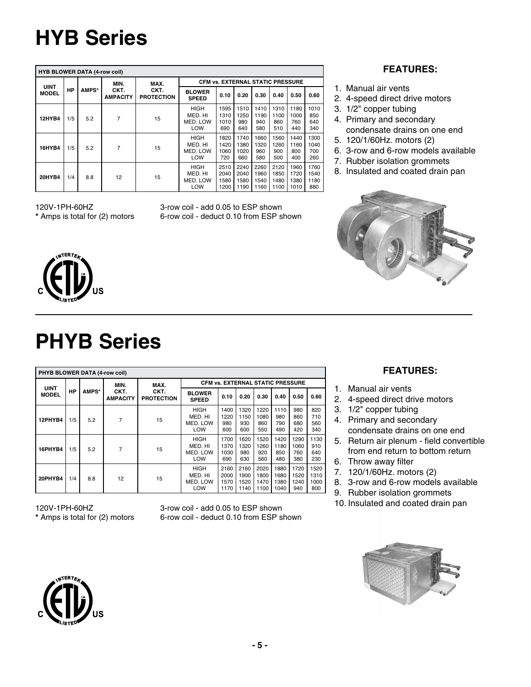# **HYB Series**

|               | <b>HYB BLOWER DATA (4-row coil)</b> |              |                         |                           |                                           |                              |                              |                              |                              |                              |                             |  |  |  |
|---------------|-------------------------------------|--------------|-------------------------|---------------------------|-------------------------------------------|------------------------------|------------------------------|------------------------------|------------------------------|------------------------------|-----------------------------|--|--|--|
| <b>UINT</b>   |                                     |              | MIN.                    | MAX.                      | <b>CFM vs. EXTERNAL STATIC PRESSURE</b>   |                              |                              |                              |                              |                              |                             |  |  |  |
| <b>MODEL</b>  | ΗP                                  | <b>AMPS*</b> | CKT.<br><b>AMPACITY</b> | CKT.<br><b>PROTECTION</b> | <b>BLOWER</b><br><b>SPEED</b>             | 0.10                         | 0.20                         | 0.30                         | 0.40                         | 0.50                         | 0.60                        |  |  |  |
| <b>12HYB4</b> | 1/5                                 | 5.2          | 7                       | 15                        | <b>HIGH</b><br>MED. HI<br>MED. LOW<br>LOW | 1595<br>1310<br>1010<br>690  | 1510<br>1250<br>980<br>640   | 1410<br>1190<br>940<br>580   | 1310<br>1100<br>860<br>510   | 1180<br>1000<br>760<br>440   | 1010<br>850<br>640<br>340   |  |  |  |
| <b>16HYB4</b> | 1/5                                 | 5.2          | 7                       | 15                        | <b>HIGH</b><br>MED. HI<br>MED. LOW<br>LOW | 1820<br>1420<br>1060<br>720  | 1740<br>1380<br>1020<br>660  | 1660<br>1320<br>960<br>580   | 1560<br>1260<br>900<br>500   | 1440<br>1160<br>800<br>400   | 1300<br>1040<br>700<br>260  |  |  |  |
| <b>20HYB4</b> | 1/4                                 | 8.8          | 12                      | 15                        | <b>HIGH</b><br>MED. HI<br>MED. LOW<br>LOW | 2510<br>2040<br>1580<br>1200 | 2240<br>2040<br>1580<br>1190 | 2260<br>1960<br>1540<br>1160 | 2120<br>1850<br>1480<br>1100 | 1960<br>1720<br>1380<br>1010 | 1760<br>1540<br>1180<br>880 |  |  |  |

120V-1PH-60HZ 3-row coil - add 0.05 to ESP shown **\*** Amps is total for (2) motors 6-row coil - deduct 0.10 from ESP shown

## **FEATURES:**

- 1. Manual air vents
- 2. 4-speed direct drive motors
- 3. 1/2" copper tubing
- 4. Primary and secondary condensate drains on one end
- 5. 120/1/60Hz. motors (2)
- 6. 3-row and 6-row models available
- 7. Rubber isolation grommets
- 8. Insulated and coated drain pan





# **PHYB Series**

|              | PHYB BLOWER DATA (4-row coil) |       |                         |                           |                                                  |                              |                              |                              |                              |                             |                             |  |  |  |
|--------------|-------------------------------|-------|-------------------------|---------------------------|--------------------------------------------------|------------------------------|------------------------------|------------------------------|------------------------------|-----------------------------|-----------------------------|--|--|--|
| <b>UINT</b>  |                               |       | MIN.                    | MAX.                      | <b>CFM vs. EXTERNAL STATIC PRESSURE</b>          |                              |                              |                              |                              |                             |                             |  |  |  |
| <b>MODEL</b> | HP                            | AMPS* | CKT.<br><b>AMPACITY</b> | CKT.<br><b>PROTECTION</b> | <b>BLOWER</b><br><b>SPEED</b>                    | 0.10                         | 0.20                         | 0.30                         | 0.40                         | 0.50                        | 0.60                        |  |  |  |
| 12PHYB4      | 1/5                           | 5.2   | 7                       | 15                        | <b>HIGH</b><br>MED. HI<br>MED. LOW<br>LOW        | 1400<br>1220<br>980<br>600   | 1320<br>1150<br>930<br>600   | 1220<br>1080<br>860<br>550   | 1110<br>980<br>790<br>490    | 980<br>860<br>680<br>420    | 820<br>710<br>560<br>340    |  |  |  |
| 16PHYB4      | 1/5                           | 5.2   | 7                       | 15                        | <b>HIGH</b><br>MED. HI<br>MED. LOW<br>LOW        | 1700<br>1370<br>1030<br>690  | 1620<br>1320<br>980<br>630   | 1520<br>1260<br>920<br>560   | 1420<br>1180<br>850<br>480   | 1290<br>1060<br>760<br>380  | 1130<br>910<br>640<br>230   |  |  |  |
| 20PHYB4      | 1/4                           | 8.8   | 12                      | 15                        | <b>HIGH</b><br>MED. HI<br>MED. LOW<br><b>LOW</b> | 2160<br>2000<br>1570<br>1170 | 2160<br>1900<br>1520<br>1140 | 2020<br>1800<br>1470<br>1100 | 1880<br>1680<br>1380<br>1040 | 1720<br>1520<br>1240<br>940 | 1520<br>1310<br>1000<br>800 |  |  |  |

## **FEATURES:**

- 1. Manual air vents
- 2. 4-speed direct drive motors
- 3. 1/2" copper tubing
- 4. Primary and secondary condensate drains on one end
- 5. Return air plenum field convertible from end return to bottom return
- 6. Throw away filter
- 7. 120/1/60Hz. motors (2)
- 8. 3-row and 6-row models available
- 9. Rubber isolation grommets
- 10. Insulated and coated drain pan



120V-1PH-60HZ 3-row coil - add 0.05 to ESP shown **\*** Amps is total for (2) motors 6-row coil - deduct 0.10 from ESP shown

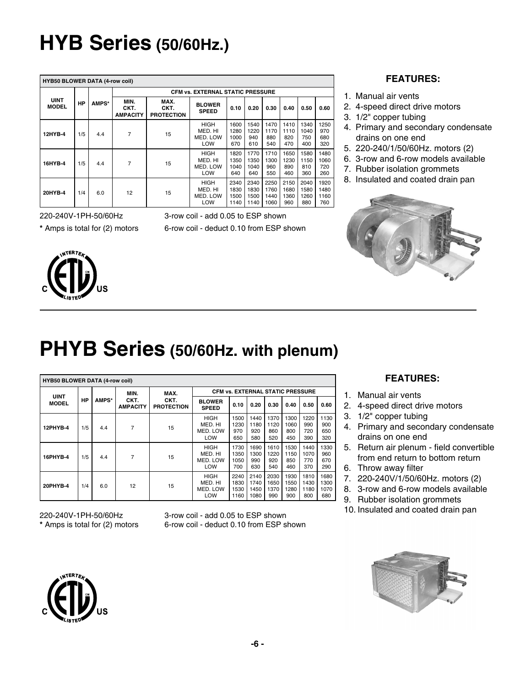# **HYB Series (50/60Hz.)**

| <b>HYB50 BLOWER DATA (4-row coil)</b> |     |       |                                 |                                   |                                           |                              |                              |                              |                             |                             |                             |
|---------------------------------------|-----|-------|---------------------------------|-----------------------------------|-------------------------------------------|------------------------------|------------------------------|------------------------------|-----------------------------|-----------------------------|-----------------------------|
|                                       |     |       |                                 |                                   | <b>CFM vs. EXTERNAL STATIC PRESSURE</b>   |                              |                              |                              |                             |                             |                             |
| <b>UINT</b><br><b>MODEL</b>           | ΗP  | AMPS* | MIN.<br>CKT.<br><b>AMPACITY</b> | MAX.<br>CKT.<br><b>PROTECTION</b> | <b>BLOWER</b><br><b>SPEED</b>             | 0.10                         | 0.20                         | 0.30                         | 0.40                        | 0.50                        | 0.60                        |
| 12HYB-4                               | 1/5 | 4.4   | 7                               | 15                                | <b>HIGH</b><br>MED. HI<br>MED. LOW<br>LOW | 1600<br>1280<br>1000<br>670  | 1540<br>1220<br>940<br>610   | 1470<br>1170<br>880<br>540   | 1410<br>1110<br>820<br>470  | 1340<br>1040<br>750<br>400  | 1250<br>970<br>680<br>320   |
| 16HYB-4                               | 1/5 | 4.4   | 7                               | 15                                | <b>HIGH</b><br>MED. HI<br>MED. LOW<br>LOW | 1820<br>1350<br>1040<br>640  | 1770<br>1350<br>1040<br>640  | 1710<br>1300<br>960<br>550   | 1650<br>1230<br>890<br>460  | 1580<br>1150<br>810<br>360  | 1480<br>1060<br>720<br>260  |
| 20HYB-4                               | 1/4 | 6.0   | 12                              | 15                                | <b>HIGH</b><br>MED. HI<br>MED. LOW<br>LOW | 2340<br>1830<br>1500<br>1140 | 2340<br>1830<br>1500<br>1140 | 2250<br>1760<br>1440<br>1060 | 2150<br>1680<br>1360<br>960 | 2040<br>1580<br>1260<br>880 | 1920<br>1480<br>1160<br>760 |

220-240V-1PH-50/60Hz



3-row coil - add 0.05 to ESP shown

**\*** Amps is total for (2) motors 6-row coil - deduct 0.10 from ESP shown

### **FEATURES:**

- 1. Manual air vents
- 2. 4-speed direct drive motors
- 3. 1/2" copper tubing
- 4. Primary and secondary condensate drains on one end
- 5. 220-240/1/50/60Hz. motors (2)
- 6. 3-row and 6-row models available
- 7. Rubber isolation grommets
- 8. Insulated and coated drain pan



# **PHYB Series (50/60Hz. with plenum)**

| <b>HYB50 BLOWER DATA (4-row coil)</b> |     |       |                         |                           |                                           |                                         |                              |                             |                             |                             |                             |
|---------------------------------------|-----|-------|-------------------------|---------------------------|-------------------------------------------|-----------------------------------------|------------------------------|-----------------------------|-----------------------------|-----------------------------|-----------------------------|
| <b>UINT</b>                           |     |       | MIN.                    | MAX.                      |                                           | <b>CFM vs. EXTERNAL STATIC PRESSURE</b> |                              |                             |                             |                             |                             |
| <b>MODEL</b>                          | HP  | AMPS* | CKT.<br><b>AMPACITY</b> | CKT.<br><b>PROTECTION</b> | <b>BLOWER</b><br><b>SPEED</b>             | 0.10                                    | 0.20                         | 0.30                        | 0.40                        | 0.50                        | 0.60                        |
| 12PHYB-4                              | 1/5 | 4.4   | 7                       | 15                        | <b>HIGH</b><br>MED. HI<br>MED. LOW<br>LOW | 1500<br>1230<br>970<br>650              | 1440<br>1180<br>920<br>580   | 1370<br>1120<br>860<br>520  | 1300<br>1060<br>800<br>450  | 1220<br>990<br>720<br>390   | 1130<br>900<br>650<br>320   |
| 16PHYB-4                              | 1/5 | 4.4   | 7                       | 15                        | <b>HIGH</b><br>MED. HI<br>MED. LOW<br>LOW | 1730<br>1350<br>1050<br>700             | 1690<br>1300<br>990<br>630   | 1610<br>1220<br>920<br>540  | 1530<br>1150<br>850<br>460  | 1440<br>1070<br>770<br>370  | 1330<br>960<br>670<br>290   |
| 20PHYB-4                              | 1/4 | 6.0   | 12                      | 15                        | <b>HIGH</b><br>MED. HI<br>MED. LOW<br>LOW | 2240<br>1830<br>1530<br>1160            | 2140<br>1740<br>1450<br>1080 | 2030<br>1650<br>1370<br>990 | 1930<br>1550<br>1280<br>900 | 1810<br>1430<br>1180<br>800 | 1680<br>1300<br>1070<br>680 |

220-240V-1PH-50/60Hz 3-row coil - add 0.05 to ESP shown<br>\* Amps is total for (2) motors 6-row coil - deduct 0.10 from ESP s -row coil - deduct 0.10 from ESP shown

## **FEATURES:**

- 1. Manual air vents
- 2. 4-speed direct drive motors
- 3. 1/2" copper tubing
- 4. Primary and secondary condensate drains on one end
- 5. Return air plenum field convertible from end return to bottom return
- 6. Throw away filter
- 7. 220-240V/1/50/60Hz. motors (2)
- 8. 3-row and 6-row models available
- 9. Rubber isolation grommets
- 10. Insulated and coated drain pan



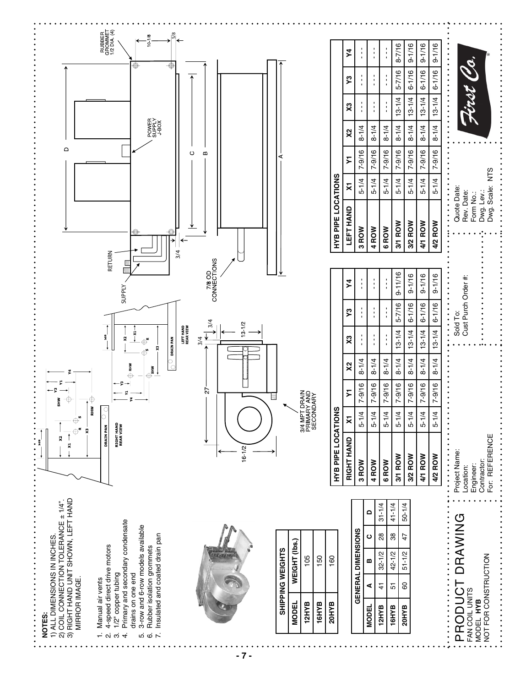

**- 7 -**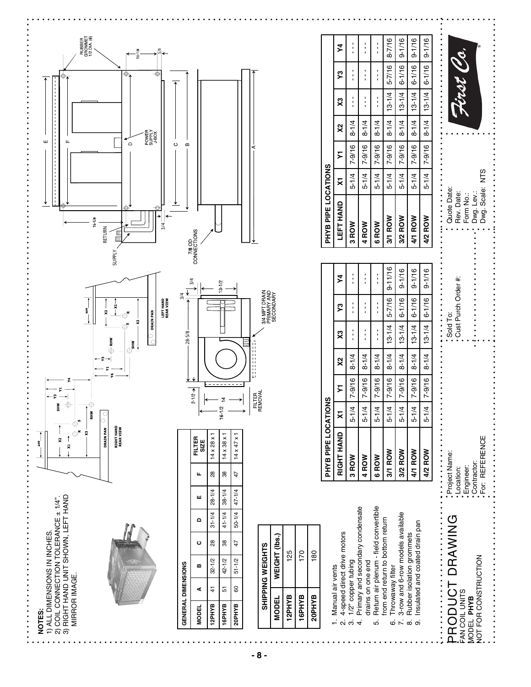

| from end return to bottom return                                                      | ${1 \over 2}$                                                            | $\frac{1}{2}$ , $\frac{1}{2}$ , $\frac{1}{2}$ , $\frac{1}{2}$ , $\frac{1}{2}$ , $\frac{1}{2}$ , $\frac{1}{2}$ , $\frac{1}{2}$ , $\frac{1}{2}$ |                                                   |                                     |                                           | $\vdots$                                             |                      |                                                               |                |  |
|---------------------------------------------------------------------------------------|--------------------------------------------------------------------------|-----------------------------------------------------------------------------------------------------------------------------------------------|---------------------------------------------------|-------------------------------------|-------------------------------------------|------------------------------------------------------|----------------------|---------------------------------------------------------------|----------------|--|
| 6. Throwaway filter                                                                   | 3/1 ROW                                                                  |                                                                                                                                               |                                                   |                                     | 5-1/4   7-9/16   8-1/4   5-7/16   9-11/16 | 3/1 ROW                                              |                      | $5-1/4$   $7-9/16$   $8-1/4$   $13-1/4$   $5-7/16$   $8-7/16$ |                |  |
| 7. 3-row and 6-row models available                                                   | 3/2 ROW                                                                  |                                                                                                                                               | $5-1/4$ 7-9/16 8-1/4 13-1/4 6-1/16 9-1/16         |                                     |                                           | 3/2 ROW                                              |                      | $5-1/4$ 7-9/16 8-1/4 13-1/4 6-1/16 9-1/16                     |                |  |
| 9. Insulated and coated drain pan<br>8. Rubber isolation grommets                     | 4/1 ROW                                                                  |                                                                                                                                               | $5-1/4$ 7-9/16 8-1/4 13-1/4 6-1/16 9-1/16         |                                     |                                           | 4/1 ROW                                              |                      | $5-1/4$ 7-9/16 8-1/4 13-1/4 6-1/16 9-1/16                     |                |  |
|                                                                                       | 4/2 ROW                                                                  |                                                                                                                                               | 5-1/4   7-9/16   8-1/4   13-1/4   6-1/16   9-1/16 |                                     |                                           | 4/2 ROW                                              |                      | $5-1/4$ 7-9/16 8-1/4 13-1/4 6-1/16 9-1/16                     |                |  |
| PRODUCT DRAWING<br>NOT FOR CONSTRUCTION<br><b>FAN COIL UNITS</b><br><b>MODEL PHYB</b> | Contractor:<br>For: REFERENCE<br>Project Name:<br>Engineer:<br>Location: |                                                                                                                                               |                                                   | , Sold To:<br>• Cust Purch Order #: |                                           | Quote Date:<br>Dwg. Lev.:<br>Rev. Date:<br>Form No.: | .<br>Dwg. Scale: NTS |                                                               | .<br>First Co. |  |

 $\vdots$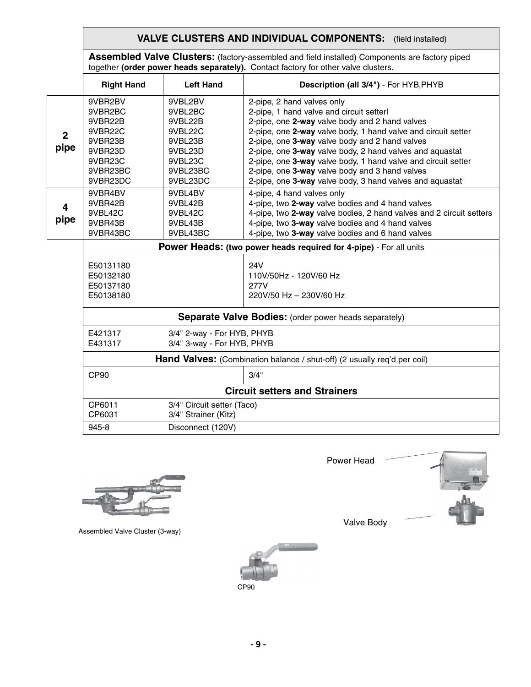## **VALVE CLUSTERS AND INDIVIDUAL COMPONENTS:** (field installed)

**Assembled Valve Clusters:** (factory-assembled and field installed) Components are factory piped together **(order power heads separately).** Contact factory for other valve clusters.

|                                     |  |                                                                                                   |                                                                                                   | cogodior former potter house coparatory, contact lactory for callor valve classicity                                                                                                                                                                                                                                                                                                                                                                                                   |  |  |  |  |
|-------------------------------------|--|---------------------------------------------------------------------------------------------------|---------------------------------------------------------------------------------------------------|----------------------------------------------------------------------------------------------------------------------------------------------------------------------------------------------------------------------------------------------------------------------------------------------------------------------------------------------------------------------------------------------------------------------------------------------------------------------------------------|--|--|--|--|
|                                     |  | <b>Right Hand</b>                                                                                 | <b>Left Hand</b>                                                                                  | Description (all 3/4") - For HYB, PHYB                                                                                                                                                                                                                                                                                                                                                                                                                                                 |  |  |  |  |
| $\overline{2}$<br>pipe<br>4<br>pipe |  | 9VBR2BV<br>9VBR2BC<br>9VBR22B<br>9VBR22C<br>9VBR23B<br>9VBR23D<br>9VBR23C<br>9VBR23BC<br>9VBR23DC | 9VBL2BV<br>9VBL2BC<br>9VBL22B<br>9VBL22C<br>9VBL23B<br>9VBL23D<br>9VBL23C<br>9VBL23BC<br>9VBL23DC | 2-pipe, 2 hand valves only<br>2-pipe, 1 hand valve and circuit setterl<br>2-pipe, one 2-way valve body and 2 hand valves<br>2-pipe, one 2-way valve body, 1 hand valve and circuit setter<br>2-pipe, one 3-way valve body and 2 hand valves<br>2-pipe, one 3-way valve body, 2 hand valves and aquastat<br>2-pipe, one 3-way valve body, 1 hand valve and circuit setter<br>2-pipe, one 3-way valve body and 3 hand valves<br>2-pipe, one 3-way valve body, 3 hand valves and aquastat |  |  |  |  |
|                                     |  | 9VBR4BV<br>9VBR42B<br>9VBL42C<br>9VBR43B<br>9VBR43BC                                              | 9VBL4BV<br>9VBL42B<br>9VBL42C<br>9VBL43B<br>9VBL43BC                                              | 4-pipe, 4 hand valves only<br>4-pipe, two 2-way valve bodies and 4 hand valves<br>4-pipe, two 2-way valve bodies, 2 hand valves and 2 circuit setters<br>4-pipe, two 3-way valve bodies and 4 hand valves<br>4-pipe, two 3-way valve bodies and 6 hand valves                                                                                                                                                                                                                          |  |  |  |  |
|                                     |  |                                                                                                   |                                                                                                   | Power Heads: (two power heads required for 4-pipe) - For all units                                                                                                                                                                                                                                                                                                                                                                                                                     |  |  |  |  |
|                                     |  | E50131180<br>E50132180<br>E50137180<br>E50138180                                                  |                                                                                                   | <b>24V</b><br>110V/50Hz - 120V/60 Hz<br>277V<br>220V/50 Hz - 230V/60 Hz                                                                                                                                                                                                                                                                                                                                                                                                                |  |  |  |  |
|                                     |  | <b>Separate Valve Bodies:</b> (order power heads separately)                                      |                                                                                                   |                                                                                                                                                                                                                                                                                                                                                                                                                                                                                        |  |  |  |  |
|                                     |  | E421317<br>E431317                                                                                | 3/4" 2-way - For HYB, PHYB<br>3/4" 3-way - For HYB, PHYB                                          |                                                                                                                                                                                                                                                                                                                                                                                                                                                                                        |  |  |  |  |
|                                     |  |                                                                                                   |                                                                                                   | Hand Valves: (Combination balance / shut-off) (2 usually req'd per coil)                                                                                                                                                                                                                                                                                                                                                                                                               |  |  |  |  |
|                                     |  | CP90                                                                                              |                                                                                                   | 3/4"                                                                                                                                                                                                                                                                                                                                                                                                                                                                                   |  |  |  |  |
|                                     |  |                                                                                                   |                                                                                                   | <b>Circuit setters and Strainers</b>                                                                                                                                                                                                                                                                                                                                                                                                                                                   |  |  |  |  |
|                                     |  | CP6011<br>CP6031                                                                                  | 3/4" Circuit setter (Taco)<br>3/4" Strainer (Kitz)                                                |                                                                                                                                                                                                                                                                                                                                                                                                                                                                                        |  |  |  |  |
|                                     |  | 945-8                                                                                             | Disconnect (120V)                                                                                 |                                                                                                                                                                                                                                                                                                                                                                                                                                                                                        |  |  |  |  |



Assembled Valve Cluster (3-way)



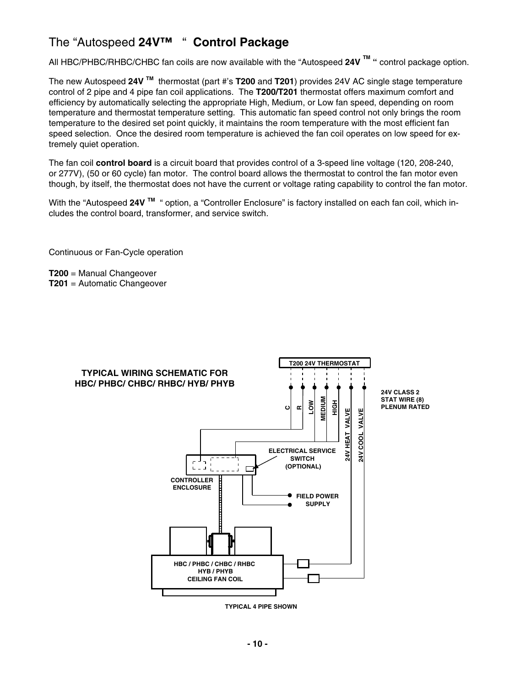## The "Autospeed **24V™** " **Control Package**

All HBC/PHBC/RHBC/CHBC fan coils are now available with the "Autospeed **24V TM "** control package option.

The new Autospeed **24V TM** thermostat (part #'s **T200** and **T201**) provides 24V AC single stage temperature control of 2 pipe and 4 pipe fan coil applications. The **T200/T201** thermostat offers maximum comfort and efficiency by automatically selecting the appropriate High, Medium, or Low fan speed, depending on room temperature and thermostat temperature setting. This automatic fan speed control not only brings the room temperature to the desired set point quickly, it maintains the room temperature with the most efficient fan speed selection. Once the desired room temperature is achieved the fan coil operates on low speed for extremely quiet operation.

The fan coil **control board** is a circuit board that provides control of a 3-speed line voltage (120, 208-240, or 277V), (50 or 60 cycle) fan motor. The control board allows the thermostat to control the fan motor even though, by itself, the thermostat does not have the current or voltage rating capability to control the fan motor.

With the "Autospeed **24V TM** " option, a "Controller Enclosure" is factory installed on each fan coil, which includes the control board, transformer, and service switch.

Continuous or Fan-Cycle operation

**T200** = Manual Changeover **T201** = Automatic Changeover



**TYPICAL 4 PIPE SHOWN**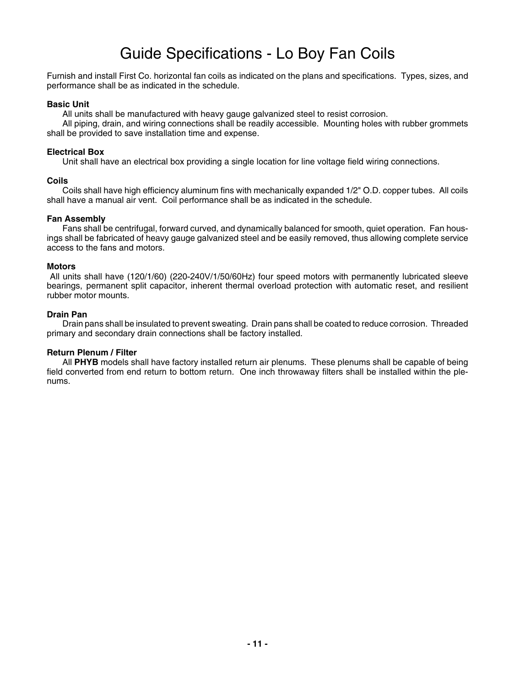## Guide Specifications - Lo Boy Fan Coils

Furnish and install First Co. horizontal fan coils as indicated on the plans and specifications. Types, sizes, and performance shall be as indicated in the schedule.

#### **Basic Unit**

All units shall be manufactured with heavy gauge galvanized steel to resist corrosion.

All piping, drain, and wiring connections shall be readily accessible. Mounting holes with rubber grommets shall be provided to save installation time and expense.

### **Electrical Box**

Unit shall have an electrical box providing a single location for line voltage field wiring connections.

#### **Coils**

Coils shall have high efficiency aluminum fins with mechanically expanded 1/2" O.D. copper tubes. All coils shall have a manual air vent. Coil performance shall be as indicated in the schedule.

#### **Fan Assembly**

Fans shall be centrifugal, forward curved, and dynamically balanced for smooth, quiet operation. Fan housings shall be fabricated of heavy gauge galvanized steel and be easily removed, thus allowing complete service access to the fans and motors.

#### **Motors**

 All units shall have (120/1/60) (220-240V/1/50/60Hz) four speed motors with permanently lubricated sleeve bearings, permanent split capacitor, inherent thermal overload protection with automatic reset, and resilient rubber motor mounts.

#### **Drain Pan**

Drain pans shall be insulated to prevent sweating. Drain pans shall be coated to reduce corrosion. Threaded primary and secondary drain connections shall be factory installed.

### **Return Plenum / Filter**

All **PHYB** models shall have factory installed return air plenums. These plenums shall be capable of being field converted from end return to bottom return. One inch throwaway filters shall be installed within the plenums.